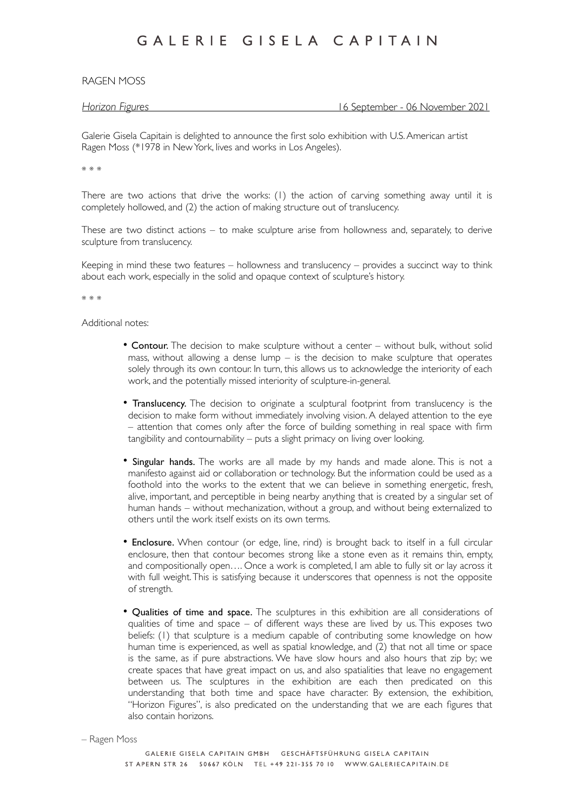RAGEN MOSS

*Horizon Figures* 16 September - 06 November 2021

Galerie Gisela Capitain is delighted to announce the first solo exhibition with U.S. American artist Ragen Moss (\*1978 in New York, lives and works in Los Angeles).

\* \* \*

There are two actions that drive the works: (1) the action of carving something away until it is completely hollowed, and (2) the action of making structure out of translucency.

These are two distinct actions – to make sculpture arise from hollowness and, separately, to derive sculpture from translucency.

Keeping in mind these two features – hollowness and translucency – provides a succinct way to think about each work, especially in the solid and opaque context of sculpture's history.

\* \* \*

Additional notes:

- Contour. The decision to make sculpture without a center without bulk, without solid mass, without allowing a dense lump  $-$  is the decision to make sculpture that operates solely through its own contour. In turn, this allows us to acknowledge the interiority of each work, and the potentially missed interiority of sculpture-in-general.
- Translucency. The decision to originate a sculptural footprint from translucency is the decision to make form without immediately involving vision. A delayed attention to the eye – attention that comes only after the force of building something in real space with firm tangibility and contournability – puts a slight primacy on living over looking.
- Singular hands. The works are all made by my hands and made alone. This is not a manifesto against aid or collaboration or technology. But the information could be used as a foothold into the works to the extent that we can believe in something energetic, fresh, alive, important, and perceptible in being nearby anything that is created by a singular set of human hands – without mechanization, without a group, and without being externalized to others until the work itself exists on its own terms.
- Enclosure. When contour (or edge, line, rind) is brought back to itself in a full circular enclosure, then that contour becomes strong like a stone even as it remains thin, empty, and compositionally open…. Once a work is completed, I am able to fully sit or lay across it with full weight. This is satisfying because it underscores that openness is not the opposite of strength.
- Qualities of time and space. The sculptures in this exhibition are all considerations of qualities of time and space  $-$  of different ways these are lived by us. This exposes two beliefs: (1) that sculpture is a medium capable of contributing some knowledge on how human time is experienced, as well as spatial knowledge, and (2) that not all time or space is the same, as if pure abstractions. We have slow hours and also hours that zip by; we create spaces that have great impact on us, and also spatialities that leave no engagement between us. The sculptures in the exhibition are each then predicated on this understanding that both time and space have character. By extension, the exhibition, "Horizon Figures", is also predicated on the understanding that we are each figures that also contain horizons.

```
– Ragen Moss
```